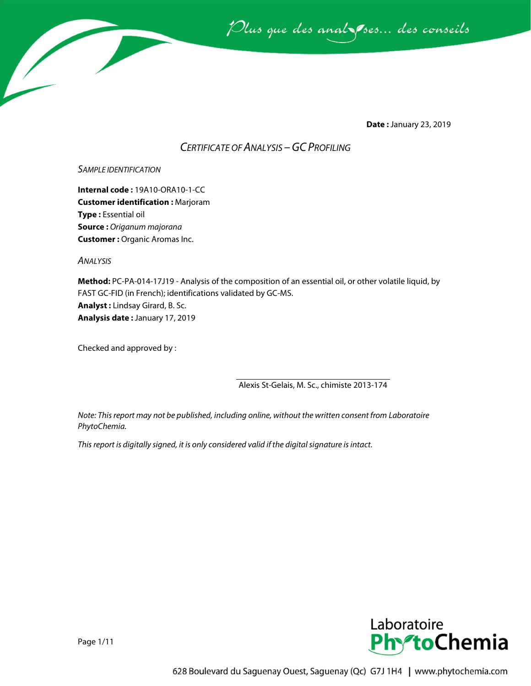

**Date :** January 23, 2019

# *CERTIFICATE OF ANALYSIS –GC PROFILING*

#### *SAMPLE IDENTIFICATION*

**Internal code :** 19A10-ORA10-1-CC **Customer identification :** Marjoram **Type :** Essential oil **Source :** *Origanum majorana* **Customer :** Organic Aromas Inc.

*ANALYSIS*

**Method:** PC-PA-014-17J19 - Analysis of the composition of an essential oil, or other volatile liquid, by FAST GC-FID (in French); identifications validated by GC-MS. **Analyst :** Lindsay Girard, B. Sc. **Analysis date :** January 17, 2019

Checked and approved by :

Alexis St-Gelais, M. Sc., chimiste 2013-174

*Note: This report may not be published, including online, without the written consent from Laboratoire PhytoChemia.*

*This report is digitally signed, it is only considered valid if the digital signature is intact.*



Page 1/11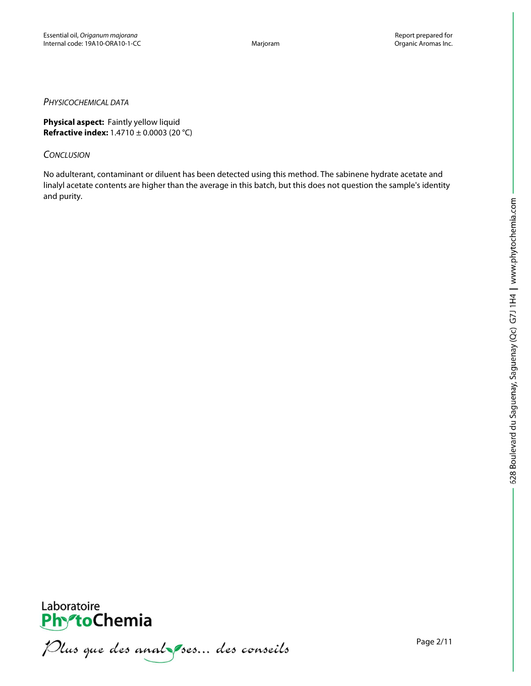### *PHYSICOCHEMICAL DATA*

**Physical aspect:** Faintly yellow liquid **Refractive index:** 1.4710 ± 0.0003 (20 °C)

# *CONCLUSION*

No adulterant, contaminant or diluent has been detected using this method. The sabinene hydrate acetate and linalyl acetate contents are higher than the average in this batch, but this does not question the sample's identity and purity.



Plus que des analzes... des conseils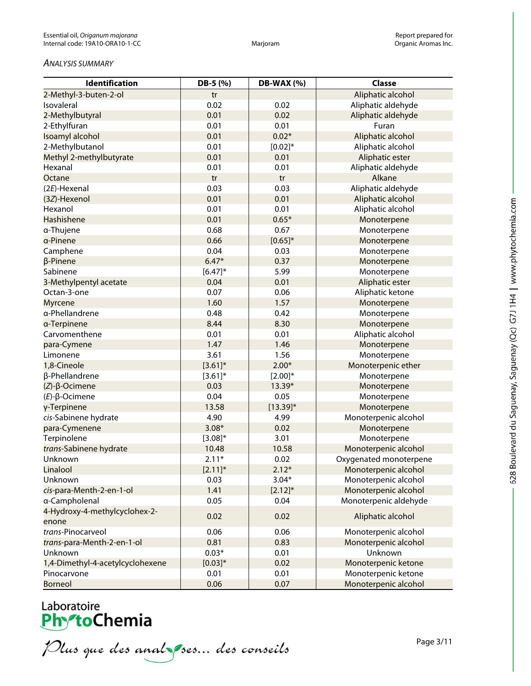#### *ANALYSIS SUMMARY*

| <b>Identification</b>                  | DB-5 (%)     | <b>DB-WAX (%)</b> | <b>Classe</b>          |
|----------------------------------------|--------------|-------------------|------------------------|
| 2-Methyl-3-buten-2-ol                  | tr           |                   | Aliphatic alcohol      |
| Isovaleral                             | 0.02         | 0.02              | Aliphatic aldehyde     |
| 2-Methylbutyral                        | 0.01         | 0.02              | Aliphatic aldehyde     |
| 2-Ethylfuran                           | 0.01         | 0.01              | Furan                  |
| Isoamyl alcohol                        | 0.01         | $0.02*$           | Aliphatic alcohol      |
| 2-Methylbutanol                        | 0.01         | $[0.02]*$         | Aliphatic alcohol      |
| Methyl 2-methylbutyrate                | 0.01         | 0.01              | Aliphatic ester        |
| Hexanal                                | 0.01         | 0.01              | Aliphatic aldehyde     |
| Octane                                 | tr           | tr                | Alkane                 |
| (2E)-Hexenal                           | 0.03         | 0.03              | Aliphatic aldehyde     |
| (3Z)-Hexenol                           | 0.01         | 0.01              | Aliphatic alcohol      |
| Hexanol                                | 0.01         | 0.01              | Aliphatic alcohol      |
| Hashishene                             | 0.01         | $0.65*$           | Monoterpene            |
| a-Thujene                              | 0.68         | 0.67              | Monoterpene            |
| a-Pinene                               | 0.66         | $[0.65]^{*}$      | Monoterpene            |
| Camphene                               | 0.04         | 0.03              | Monoterpene            |
| β-Pinene                               | $6.47*$      | 0.37              | Monoterpene            |
| Sabinene                               | $[6.47]$ *   | 5.99              | Monoterpene            |
| 3-Methylpentyl acetate                 | 0.04         | 0.01              | Aliphatic ester        |
| Octan-3-one                            | 0.07         | 0.06              | Aliphatic ketone       |
| <b>Myrcene</b>                         | 1.60         | 1.57              | Monoterpene            |
| α-Phellandrene                         | 0.48         | 0.42              | Monoterpene            |
| a-Terpinene                            | 8.44         | 8.30              | Monoterpene            |
| Carvomenthene                          | 0.01         | 0.01              | Aliphatic alcohol      |
| para-Cymene                            | 1.47         | 1.46              | Monoterpene            |
| Limonene                               | 3.61         | 1.56              | Monoterpene            |
| 1,8-Cineole                            | $[3.61]$ *   | $2.00*$           | Monoterpenic ether     |
| β-Phellandrene                         | $[3.61]$ *   | $[2.00]^{*}$      | Monoterpene            |
| $(Z)$ - $\beta$ -Ocimene               | 0.03         | 13.39*            | Monoterpene            |
| $(E)$ - $\beta$ -Ocimene               | 0.04         | 0.05              | Monoterpene            |
| γ-Terpinene                            | 13.58        | $[13.39]$ *       | Monoterpene            |
| cis-Sabinene hydrate                   | 4.90         | 4.99              | Monoterpenic alcohol   |
| para-Cymenene                          | $3.08*$      | 0.02              | Monoterpene            |
| Terpinolene                            | $[3.08]^{*}$ | 3.01              | Monoterpene            |
| trans-Sabinene hydrate                 | 10.48        | 10.58             | Monoterpenic alcohol   |
| Unknown                                | $2.11*$      | 0.02              | Oxygenated monoterpene |
| Linalool                               | $[2.11]$ *   | $2.12*$           | Monoterpenic alcohol   |
| Unknown                                | 0.03         | $3.04*$           | Monoterpenic alcohol   |
| cis-para-Menth-2-en-1-ol               | 1.41         | $[2.12]$ *        | Monoterpenic alcohol   |
| a-Campholenal                          | 0.05         | 0.04              | Monoterpenic aldehyde  |
| 4-Hydroxy-4-methylcyclohex-2-<br>enone | 0.02         | 0.02              | Aliphatic alcohol      |
| trans-Pinocarveol                      | 0.06         | 0.06              | Monoterpenic alcohol   |
| trans-para-Menth-2-en-1-ol             | 0.81         | 0.83              | Monoterpenic alcohol   |
| Unknown                                | $0.03*$      | 0.01              | Unknown                |
| 1,4-Dimethyl-4-acetylcyclohexene       | $[0.03]*$    | 0.02              | Monoterpenic ketone    |
| Pinocarvone                            | 0.01         | 0.01              | Monoterpenic ketone    |
| <b>Borneol</b>                         | 0.06         | 0.07              | Monoterpenic alcohol   |

# Laboratoire<br>**Phy<sup>s</sup>toChemia**

Plus que des analzes... des conseils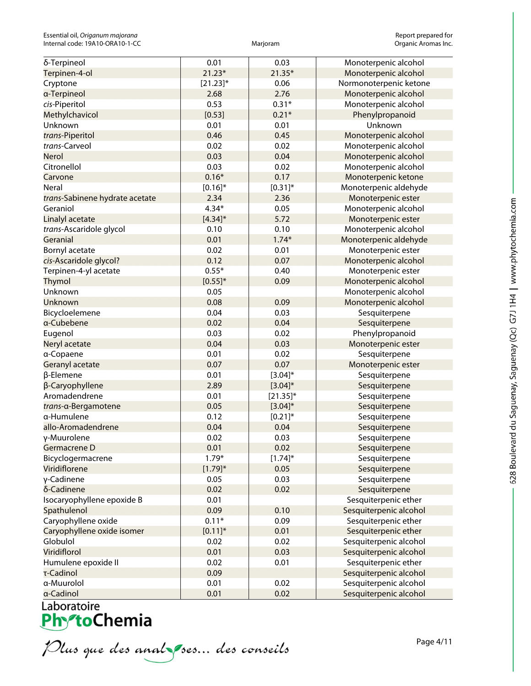| δ-Terpineol                    | 0.01         | 0.03        | Monoterpenic alcohol   |
|--------------------------------|--------------|-------------|------------------------|
| Terpinen-4-ol                  | $21.23*$     | 21.35*      | Monoterpenic alcohol   |
| Cryptone                       | $[21.23]$ *  | 0.06        | Normonoterpenic ketone |
| a-Terpineol                    | 2.68         | 2.76        | Monoterpenic alcohol   |
| cis-Piperitol                  | 0.53         | $0.31*$     | Monoterpenic alcohol   |
| Methylchavicol                 | [0.53]       | $0.21*$     | Phenylpropanoid        |
| Unknown                        | 0.01         | 0.01        | Unknown                |
| trans-Piperitol                | 0.46         | 0.45        | Monoterpenic alcohol   |
| trans-Carveol                  | 0.02         | 0.02        | Monoterpenic alcohol   |
| Nerol                          | 0.03         | 0.04        | Monoterpenic alcohol   |
| Citronellol                    | 0.03         | 0.02        | Monoterpenic alcohol   |
| Carvone                        | $0.16*$      | 0.17        | Monoterpenic ketone    |
| Neral                          | $[0.16]$ *   | $[0.31]$ *  | Monoterpenic aldehyde  |
| trans-Sabinene hydrate acetate | 2.34         | 2.36        | Monoterpenic ester     |
| Geraniol                       | $4.34*$      | 0.05        | Monoterpenic alcohol   |
| Linalyl acetate                | $[4.34]$ *   | 5.72        | Monoterpenic ester     |
| trans-Ascaridole glycol        | 0.10         | 0.10        | Monoterpenic alcohol   |
| Geranial                       | 0.01         | $1.74*$     | Monoterpenic aldehyde  |
| Bornyl acetate                 | 0.02         | 0.01        | Monoterpenic ester     |
| cis-Ascaridole glycol?         | 0.12         | 0.07        | Monoterpenic alcohol   |
| Terpinen-4-yl acetate          | $0.55*$      | 0.40        | Monoterpenic ester     |
| <b>Thymol</b>                  | $[0.55]^{*}$ | 0.09        | Monoterpenic alcohol   |
| Unknown                        | 0.05         |             | Monoterpenic alcohol   |
| Unknown                        | 0.08         | 0.09        | Monoterpenic alcohol   |
| Bicycloelemene                 | 0.04         | 0.03        | Sesquiterpene          |
| a-Cubebene                     | 0.02         | 0.04        | Sesquiterpene          |
| Eugenol                        | 0.03         | 0.02        | Phenylpropanoid        |
| Neryl acetate                  | 0.04         | 0.03        | Monoterpenic ester     |
| a-Copaene                      | 0.01         | 0.02        | Sesquiterpene          |
| Geranyl acetate                | 0.07         | 0.07        | Monoterpenic ester     |
| β-Elemene                      | 0.01         | $[3.04]*$   | Sesquiterpene          |
| β-Caryophyllene                | 2.89         | $[3.04]$ *  | Sesquiterpene          |
| Aromadendrene                  | 0.01         | $[21.35]$ * | Sesquiterpene          |
| trans-a-Bergamotene            | 0.05         | $[3.04]$ *  | Sesquiterpene          |
| a-Humulene                     | 0.12         | $[0.21]$ *  | Sesquiterpene          |
| allo-Aromadendrene             | 0.04         | 0.04        | Sesquiterpene          |
| y-Muurolene                    | 0.02         | 0.03        | Sesquiterpene          |
| Germacrene D                   | 0.01         | 0.02        | Sesquiterpene          |
| Bicyclogermacrene              | $1.79*$      | $[1.74]$ *  | Sesquiterpene          |
| Viridiflorene                  | $[1.79]^{*}$ | 0.05        | Sesquiterpene          |
| γ-Cadinene                     | 0.05         | 0.03        | Sesquiterpene          |
| δ-Cadinene                     | 0.02         | 0.02        | Sesquiterpene          |
| Isocaryophyllene epoxide B     | 0.01         |             | Sesquiterpenic ether   |
| Spathulenol                    | 0.09         | 0.10        | Sesquiterpenic alcohol |
| Caryophyllene oxide            | $0.11*$      | 0.09        | Sesquiterpenic ether   |
| Caryophyllene oxide isomer     | $[0.11]$ *   | 0.01        | Sesquiterpenic ether   |
| Globulol                       | 0.02         | 0.02        | Sesquiterpenic alcohol |
| Viridiflorol                   | 0.01         | 0.03        | Sesquiterpenic alcohol |
| Humulene epoxide II            | 0.02         | 0.01        | Sesquiterpenic ether   |
| τ-Cadinol                      | 0.09         |             | Sesquiterpenic alcohol |
| a-Muurolol                     | 0.01         | 0.02        | Sesquiterpenic alcohol |
| a-Cadinol                      | 0.01         | 0.02        | Sesquiterpenic alcohol |

<u>a-cadinol</u><br>Laboratoire<br>**Phy<sup>-</sup>toChemia** 

Plus que des analzes... des conseils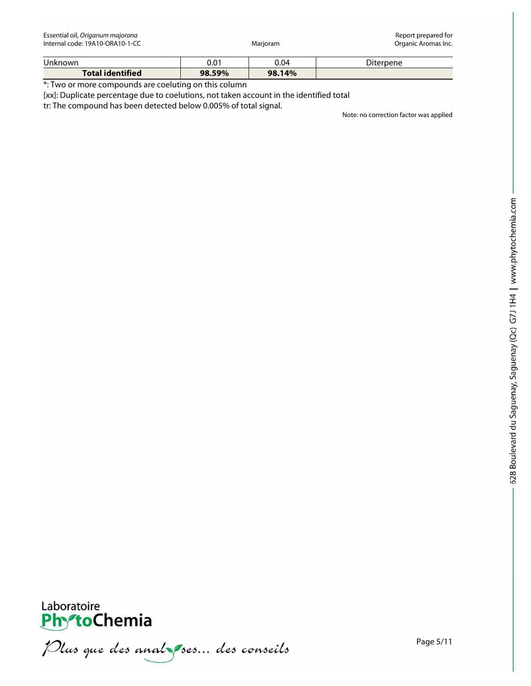Essential oil, *Origanum majorana* Report prepared for Internal code: 19A10-ORA10-1-CC

| <b>Unknown</b>          | 0.01   | 0.04   | Diterpene |
|-------------------------|--------|--------|-----------|
| <b>Total identified</b> | 98.59% | 98.14% |           |

\*: Two or more compounds are coeluting on this column

[xx]: Duplicate percentage due to coelutions, not taken account in the identified total

tr: The compound has been detected below 0.005% of total signal.

Note: no correction factor was applied



Plus que des analzes... des conseils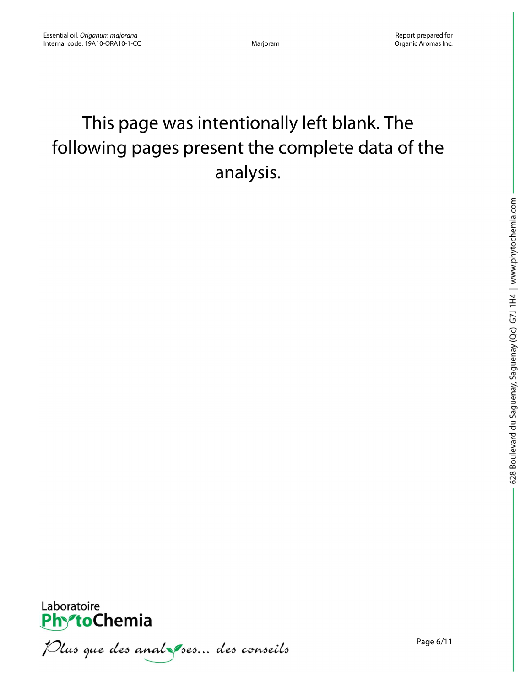# This page was intentionally left blank. The following pages present the complete data of the analysis.



Plus que des anal ses... des conseils

Page 6/11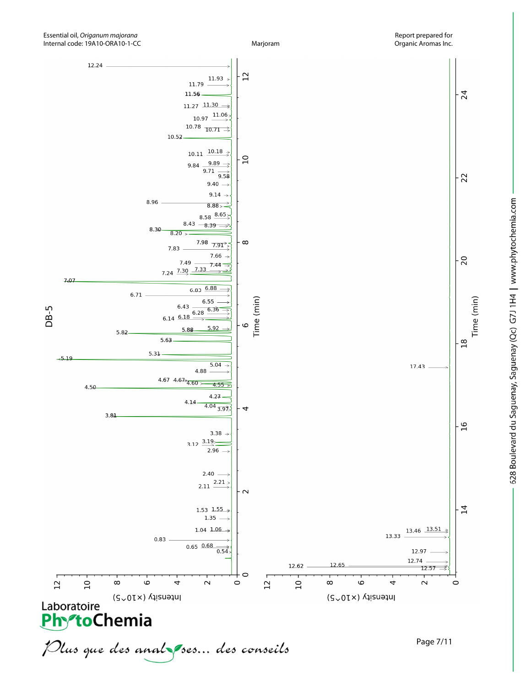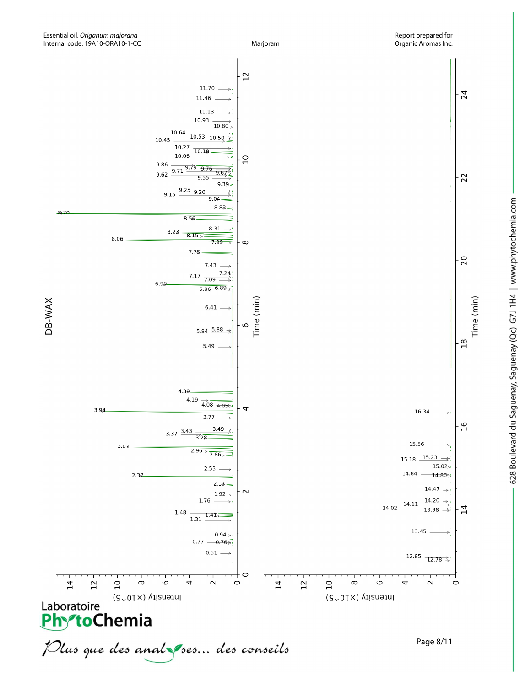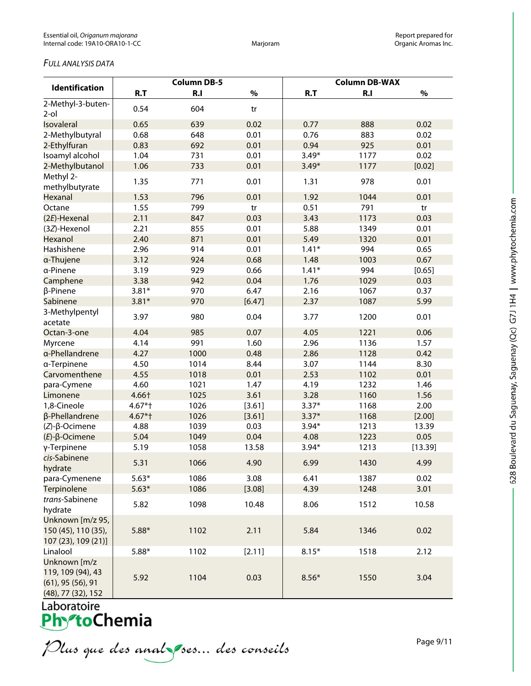## *FULL ANALYSIS DATA*

|                                                                                    | <b>Column DB-5</b> |      |        | <b>Column DB-WAX</b> |      |         |
|------------------------------------------------------------------------------------|--------------------|------|--------|----------------------|------|---------|
| Identification                                                                     | R.T                | R.I  | $\%$   | R.T                  | R.I  | $\%$    |
| 2-Methyl-3-buten-<br>$2$ -ol                                                       | 0.54               | 604  | tr     |                      |      |         |
| Isovaleral                                                                         | 0.65               | 639  | 0.02   | 0.77                 | 888  | 0.02    |
| 2-Methylbutyral                                                                    | 0.68               | 648  | 0.01   | 0.76                 | 883  | 0.02    |
| 2-Ethylfuran                                                                       | 0.83               | 692  | 0.01   | 0.94                 | 925  | 0.01    |
| Isoamyl alcohol                                                                    | 1.04               | 731  | 0.01   | $3.49*$              | 1177 | 0.02    |
| 2-Methylbutanol                                                                    | 1.06               | 733  | 0.01   | $3.49*$              | 1177 | [0.02]  |
| Methyl 2-<br>methylbutyrate                                                        | 1.35               | 771  | 0.01   | 1.31                 | 978  | 0.01    |
| Hexanal                                                                            | 1.53               | 796  | 0.01   | 1.92                 | 1044 | 0.01    |
| Octane                                                                             | 1.55               | 799  | tr     | 0.51                 | 791  | tr      |
| (2E)-Hexenal                                                                       | 2.11               | 847  | 0.03   | 3.43                 | 1173 | 0.03    |
| (3Z)-Hexenol                                                                       | 2.21               | 855  | 0.01   | 5.88                 | 1349 | 0.01    |
| Hexanol                                                                            | 2.40               | 871  | 0.01   | 5.49                 | 1320 | 0.01    |
| Hashishene                                                                         | 2.96               | 914  | 0.01   | $1.41*$              | 994  | 0.65    |
| a-Thujene                                                                          | 3.12               | 924  | 0.68   | 1.48                 | 1003 | 0.67    |
| a-Pinene                                                                           | 3.19               | 929  | 0.66   | $1.41*$              | 994  | [0.65]  |
| Camphene                                                                           | 3.38               | 942  | 0.04   | 1.76                 | 1029 | 0.03    |
| β-Pinene                                                                           | $3.81*$            | 970  | 6.47   | 2.16                 | 1067 | 0.37    |
| Sabinene                                                                           | $3.81*$            | 970  | [6.47] | 2.37                 | 1087 | 5.99    |
| 3-Methylpentyl<br>acetate                                                          | 3.97               | 980  | 0.04   | 3.77                 | 1200 | 0.01    |
| Octan-3-one                                                                        | 4.04               | 985  | 0.07   | 4.05                 | 1221 | 0.06    |
| Myrcene                                                                            | 4.14               | 991  | 1.60   | 2.96                 | 1136 | 1.57    |
| a-Phellandrene                                                                     | 4.27               | 1000 | 0.48   | 2.86                 | 1128 | 0.42    |
| a-Terpinene                                                                        | 4.50               | 1014 | 8.44   | 3.07                 | 1144 | 8.30    |
| Carvomenthene                                                                      | 4.55               | 1018 | 0.01   | 2.53                 | 1102 | 0.01    |
| para-Cymene                                                                        | 4.60               | 1021 | 1.47   | 4.19                 | 1232 | 1.46    |
| Limonene                                                                           | 4.66†              | 1025 | 3.61   | 3.28                 | 1160 | 1.56    |
| 1,8-Cineole                                                                        | 4.67*†             | 1026 | [3.61] | $3.37*$              | 1168 | 2.00    |
| β-Phellandrene                                                                     | $4.67*$ †          | 1026 | [3.61] | $3.37*$              | 1168 | [2.00]  |
| $(Z)$ - $\beta$ -Ocimene                                                           | 4.88               | 1039 | 0.03   | $3.94*$              | 1213 | 13.39   |
| $(E)$ - $\beta$ -Ocimene                                                           | 5.04               | 1049 | 0.04   | 4.08                 | 1223 | 0.05    |
| γ-Terpinene                                                                        | 5.19               | 1058 | 13.58  | $3.94*$              | 1213 | [13.39] |
| cis-Sabinene<br>hydrate                                                            | 5.31               | 1066 | 4.90   | 6.99                 | 1430 | 4.99    |
| para-Cymenene                                                                      | $5.63*$            | 1086 | 3.08   | 6.41                 | 1387 | 0.02    |
| Terpinolene                                                                        | $5.63*$            | 1086 | [3.08] | 4.39                 | 1248 | 3.01    |
| trans-Sabinene<br>hydrate                                                          | 5.82               | 1098 | 10.48  | 8.06                 | 1512 | 10.58   |
| Unknown [m/z 95,<br>150 (45), 110 (35),<br>107 (23), 109 (21)]                     | $5.88*$            | 1102 | 2.11   | 5.84                 | 1346 | 0.02    |
| Linalool                                                                           | $5.88*$            | 1102 | [2.11] | $8.15*$              | 1518 | 2.12    |
| Unknown [m/z<br>119, 109 (94), 43<br>$(61)$ , 95 $(56)$ , 91<br>(48), 77 (32), 152 | 5.92               | 1104 | 0.03   | $8.56*$              | 1550 | 3.04    |

Laboratoire<br>**Phy<sup>s</sup>toChemia** 

Plus que des analzes... des conseils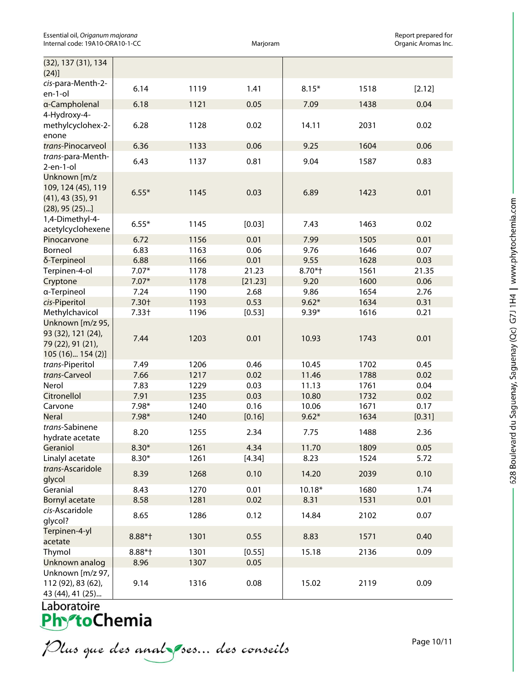| Essential oil, Origanum majorana |
|----------------------------------|
| Internal code: 19A10-ORA10-1-CC  |

Essential of **Report prepared for Marjoram**<br>Companic Aromas Inc. Organic Aromas Inc.

| (32), 137 (31), 134<br>(24)]                                                          |           |      |         |          |      |        |
|---------------------------------------------------------------------------------------|-----------|------|---------|----------|------|--------|
| cis-para-Menth-2-<br>en-1-ol                                                          | 6.14      | 1119 | 1.41    | $8.15*$  | 1518 | [2.12] |
| a-Campholenal<br>4-Hydroxy-4-                                                         | 6.18      | 1121 | 0.05    | 7.09     | 1438 | 0.04   |
| methylcyclohex-2-<br>enone                                                            | 6.28      | 1128 | 0.02    | 14.11    | 2031 | 0.02   |
| trans-Pinocarveol                                                                     | 6.36      | 1133 | 0.06    | 9.25     | 1604 | 0.06   |
| trans-para-Menth-<br>$2$ -en-1-ol                                                     | 6.43      | 1137 | 0.81    | 9.04     | 1587 | 0.83   |
| Unknown [m/z<br>109, 124 (45), 119<br>$(41)$ , 43 $(35)$ , 91<br>$(28)$ , 95 $(25)$ ] | $6.55*$   | 1145 | 0.03    | 6.89     | 1423 | 0.01   |
| 1,4-Dimethyl-4-<br>acetylcyclohexene                                                  | $6.55*$   | 1145 | [0.03]  | 7.43     | 1463 | 0.02   |
| Pinocarvone                                                                           | 6.72      | 1156 | 0.01    | 7.99     | 1505 | 0.01   |
| Borneol                                                                               | 6.83      | 1163 | 0.06    | 9.76     | 1646 | 0.07   |
| δ-Terpineol                                                                           | 6.88      | 1166 | 0.01    | 9.55     | 1628 | 0.03   |
| Terpinen-4-ol                                                                         | $7.07*$   | 1178 | 21.23   | 8.70*†   | 1561 | 21.35  |
| Cryptone                                                                              | $7.07*$   | 1178 | [21.23] | 9.20     | 1600 | 0.06   |
| a-Terpineol                                                                           | 7.24      | 1190 | 2.68    | 9.86     | 1654 | 2.76   |
| cis-Piperitol                                                                         | 7.30+     | 1193 | 0.53    | $9.62*$  | 1634 | 0.31   |
| Methylchavicol                                                                        | $7.33+$   | 1196 | [0.53]  | $9.39*$  | 1616 | 0.21   |
| Unknown [m/z 95,<br>93 (32), 121 (24),<br>79 (22), 91 (21),<br>105 (16) 154 (2)]      | 7.44      | 1203 | 0.01    | 10.93    | 1743 | 0.01   |
| trans-Piperitol                                                                       | 7.49      | 1206 | 0.46    | 10.45    | 1702 | 0.45   |
| trans-Carveol                                                                         | 7.66      | 1217 | 0.02    | 11.46    | 1788 | 0.02   |
| Nerol                                                                                 | 7.83      | 1229 | 0.03    | 11.13    | 1761 | 0.04   |
| Citronellol                                                                           | 7.91      | 1235 | 0.03    | 10.80    | 1732 | 0.02   |
| Carvone                                                                               | 7.98*     | 1240 | 0.16    | 10.06    | 1671 | 0.17   |
| <b>Neral</b>                                                                          | 7.98*     | 1240 | [0.16]  | $9.62*$  | 1634 | [0.31] |
| trans-Sabinene<br>hydrate acetate                                                     | 8.20      | 1255 | 2.34    | 7.75     | 1488 | 2.36   |
| Geraniol                                                                              | $8.30*$   | 1261 | 4.34    | 11.70    | 1809 | 0.05   |
| Linalyl acetate                                                                       | $8.30*$   | 1261 | [4.34]  | 8.23     | 1524 | 5.72   |
| trans-Ascaridole<br>glycol                                                            | 8.39      | 1268 | 0.10    | 14.20    | 2039 | 0.10   |
| Geranial                                                                              | 8.43      | 1270 | 0.01    | $10.18*$ | 1680 | 1.74   |
| <b>Bornyl acetate</b>                                                                 | 8.58      | 1281 | 0.02    | 8.31     | 1531 | 0.01   |
| cis-Ascaridole<br>glycol?                                                             | 8.65      | 1286 | 0.12    | 14.84    | 2102 | 0.07   |
| Terpinen-4-yl<br>acetate                                                              | $8.88*$ † | 1301 | 0.55    | 8.83     | 1571 | 0.40   |
| Thymol                                                                                | $8.88*$ † | 1301 | [0.55]  | 15.18    | 2136 | 0.09   |
| Unknown analog                                                                        | 8.96      | 1307 | 0.05    |          |      |        |
| Unknown [m/z 97,                                                                      |           |      |         |          |      |        |
| 112 (92), 83 (62),<br>43 (44), 41 (25)                                                | 9.14      | 1316 | 0.08    | 15.02    | 2119 | 0.09   |

Laboratoire

Plus que des analzes... des conseils